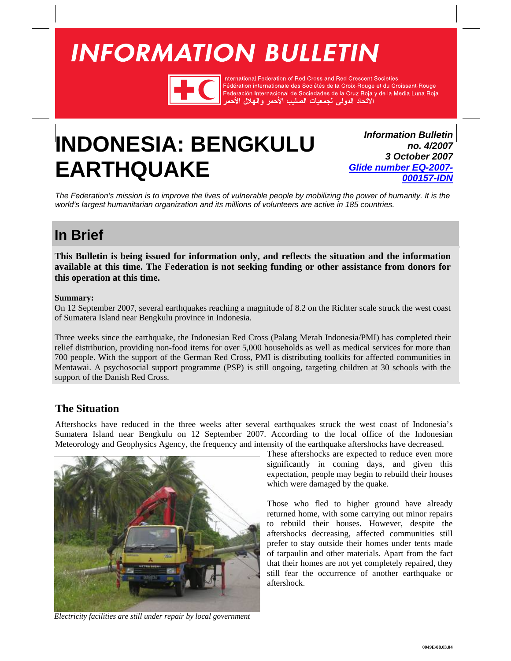# <span id="page-0-0"></span>**INFORMATION BULLETIN**



International Federation of Red Cross and Red Crescent Societies Fédération internationale des Sociétés de la Croix-Rouge et du Croissant-Rouge . Codenation International de Sociedades de la Cruz Roja y de la Media Luna Roja<br>Federación Internacional de Sociedades de la Cruz Roja y de la Media Luna Roja

# **INDONESIA: BENGKULU EARTHQUAKE**

*Information Bulletin no. 4/2007 3 October 2007 [Glide number EQ-2007-](http://www.glidenumber.net/glide/public/search/details.jsp?glide=17944&record=1&last=1) 000157-IDN*

*The Federation's mission is to improve the lives of vulnerable people by mobilizing the power of humanity. It is the world's largest humanitarian organization and its millions of volunteers are active in 185 countries.* 

### **In Brief**

**This Bulletin is being issued for information only, and reflects the situation and the information available at this time. The Federation is not seeking funding or other assistance from donors for this operation at this time.** 

#### **Summary:**

On 12 September 2007, several earthquakes reaching a magnitude of 8.2 on the Richter scale struck the west coast of Sumatera Island near Bengkulu province in Indonesia.

Three weeks since the earthquake, the Indonesian Red Cross (Palang Merah Indonesia/PMI) has completed their relief distribution, providing non-food items for over 5,000 households as well as medical services for more than 700 people. With the support of the German Red Cross, PMI is distributing toolkits for affected communities in Mentawai. A psychosocial support programme (PSP) is still ongoing, targeting children at 30 schools with the support of the Danish Red Cross.

### **The Situation**

Aftershocks have reduced in the three weeks after several earthquakes struck the west coast of Indonesia's Sumatera Island near Bengkulu on 12 September 2007. According to the local office of the Indonesian Meteorology and Geophysics Agency, the frequency and intensity of the earthquake aftershocks have decreased.



*Electricity facilities are still under repair by local government*

These aftershocks are expected to reduce even more significantly in coming days, and given this expectation, people may begin to rebuild their houses which were damaged by the quake.

Those who fled to higher ground have already returned home, with some carrying out minor repairs to rebuild their houses. However, despite the aftershocks decreasing, affected communities still prefer to stay outside their homes under tents made of tarpaulin and other materials. Apart from the fact that their homes are not yet completely repaired, they still fear the occurrence of another earthquake or aftershock.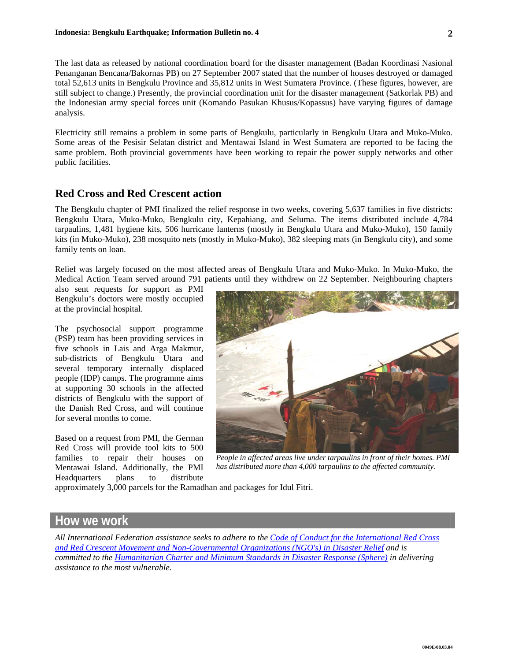The last data as released by national coordination board for the disaster management (Badan Koordinasi Nasional Penanganan Bencana/Bakornas PB) on 27 September 2007 stated that the number of houses destroyed or damaged total 52,613 units in Bengkulu Province and 35,812 units in West Sumatera Province. (These figures, however, are still subject to change.) Presently, the provincial coordination unit for the disaster management (Satkorlak PB) and the Indonesian army special forces unit (Komando Pasukan Khusus/Kopassus) have varying figures of damage analysis.

Electricity still remains a problem in some parts of Bengkulu, particularly in Bengkulu Utara and Muko-Muko. Some areas of the Pesisir Selatan district and Mentawai Island in West Sumatera are reported to be facing the same problem. Both provincial governments have been working to repair the power supply networks and other public facilities.

#### **Red Cross and Red Crescent action**

The Bengkulu chapter of PMI finalized the relief response in two weeks, covering 5,637 families in five districts: Bengkulu Utara, Muko-Muko, Bengkulu city, Kepahiang, and Seluma. The items distributed include 4,784 tarpaulins, 1,481 hygiene kits, 506 hurricane lanterns (mostly in Bengkulu Utara and Muko-Muko), 150 family kits (in Muko-Muko), 238 mosquito nets (mostly in Muko-Muko), 382 sleeping mats (in Bengkulu city), and some family tents on loan.

Relief was largely focused on the most affected areas of Bengkulu Utara and Muko-Muko. In Muko-Muko, the Medical Action Team served around 791 patients until they withdrew on 22 September. Neighbouring chapters

also sent requests for support as PMI Bengkulu's doctors were mostly occupied at the provincial hospital.

The psychosocial support programme (PSP) team has been providing services in five schools in Lais and Arga Makmur, sub-districts of Bengkulu Utara and several temporary internally displaced people (IDP) camps. The programme aims at supporting 30 schools in the affected districts of Bengkulu with the support of the Danish Red Cross, and will continue for several months to come.

Based on a request from PMI, the German Red Cross will provide tool kits to 500 families to repair their houses on Mentawai Island. Additionally, the PMI Headquarters plans to distribute



*People in affected areas live under tarpaulins in front of their homes. PMI has distributed more than 4,000 tarpaulins to the affected community.* 

approximately 3,000 parcels for the Ramadhan and packages for Idul Fitri.

#### **How we work**

*All International Federation assistance seeks to adhere to the [Code of Conduct for the International Red Cross](http://www.ifrc.org/publicat/conduct/index.asp)  [and Red Crescent Movement and Non-Governmental Organizations \(NGO's\) in Disaster Relief](http://www.ifrc.org/publicat/conduct/index.asp) and is committed to the [Humanitarian Charter and Minimum Standards in Disaster Response \(Sphere\)](http://www.sphereproject.org/) in delivering assistance to the most vulnerable.*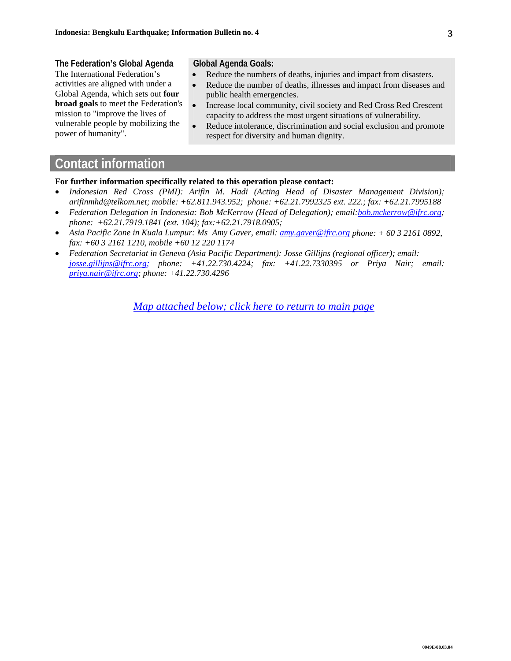The International Federation's activities are aligned with under a Global Agenda, which sets out **four broad goals** to meet the Federation's mission to "improve the lives of vulnerable people by mobilizing the power of humanity".

#### **Global Agenda Goals:**

- Reduce the numbers of deaths, injuries and impact from disasters.
- Reduce the number of deaths, illnesses and impact from diseases and public health emergencies.
- Increase local community, civil society and Red Cross Red Crescent capacity to address the most urgent situations of vulnerability.
- Reduce intolerance, discrimination and social exclusion and promote respect for diversity and human dignity.

### **Contact information**

#### **For further information specifically related to this operation please contact:**

- *Indonesian Red Cross (PMI): Arifin M. Hadi (Acting Head of Disaster Management Division); arifinmhd@telkom.net; mobile: +62.811.943.952; phone: +62.21.7992325 ext. 222.; fax: +62.21.7995188*
- *Federation Delegation in Indonesia: Bob McKerrow (Head of Delegation); email:bob.mckerrow@ifrc.org; phone: +62.21.7919.1841 (ext. 104); fax:+62.21.7918.0905;*
- *Asia Pacific Zone in Kuala Lumpur: Ms Amy Gaver, email: amy.gaver@ifrc.org phone: + 60 3 2161 0892, fax: +60 3 2161 1210, mobile +60 12 220 1174*
- *Federation Secretariat in Geneva (Asia Pacific Department): Josse Gillijns (regional officer); email: josse.gillijns@ifrc.org; phone: +41.22.730.4224; fax: +41.22.7330395 or Priya Nair; email: priya.nair@ifrc.org; phone: +41.22.730.4296*

*[Map attached below;](#page-3-0) [click here to return to main page](#page-0-0)*